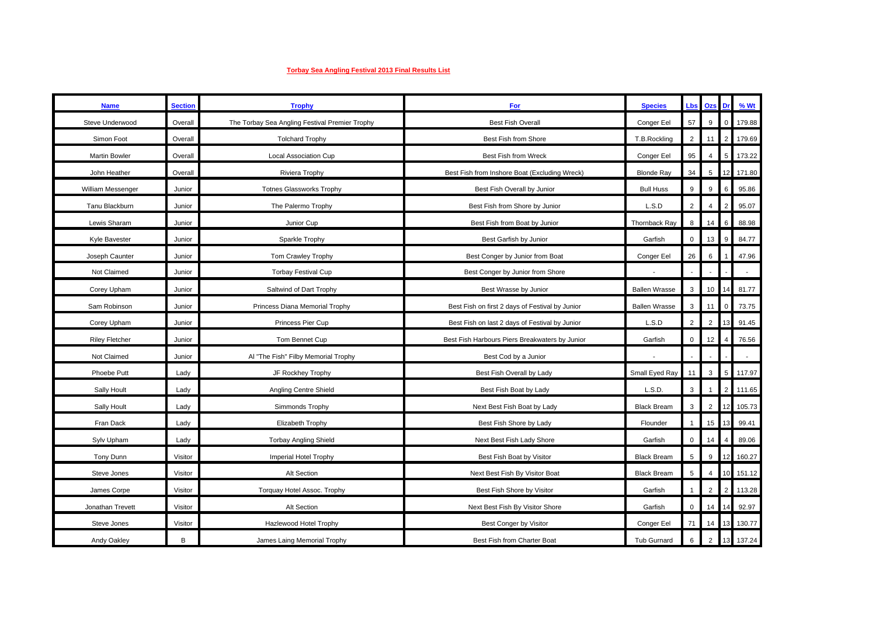## **Torbay Sea Angling Festival 2013 Final Results List**

| <b>Name</b>           | <b>Section</b> | <b>Trophy</b>                                  | For                                             | <b>Species</b>       | <b>Lbs</b>      | Ozs            | Dr             | % Wt   |
|-----------------------|----------------|------------------------------------------------|-------------------------------------------------|----------------------|-----------------|----------------|----------------|--------|
| Steve Underwood       | Overall        | The Torbay Sea Angling Festival Premier Trophy | <b>Best Fish Overall</b>                        | Conger Eel           | 57              | 9              | $\mathbf 0$    | 179.88 |
| Simon Foot            | Overall        | <b>Tolchard Trophy</b>                         | Best Fish from Shore                            | T.B.Rockling         | $\overline{2}$  |                |                | 179.69 |
| Martin Bowler         | Overall        | Local Association Cup                          | Best Fish from Wreck                            | Conger Eel           | 95              |                | 5              | 173.22 |
| John Heather          | Overall        | Riviera Trophy                                 | Best Fish from Inshore Boat (Excluding Wreck)   | <b>Blonde Ray</b>    | 34              | $\,$ 5 $\,$    | 12             | 171.80 |
| William Messenger     | Junior         | <b>Totnes Glassworks Trophy</b>                | Best Fish Overall by Junior                     | <b>Bull Huss</b>     | 9               | 9              | 6              | 95.86  |
| Tanu Blackburn        | Junior         | The Palermo Trophy                             | Best Fish from Shore by Junior                  | L.S.D                | $\overline{2}$  |                |                | 95.07  |
| Lewis Sharam          | Junior         | Junior Cup                                     | Best Fish from Boat by Junior                   | Thornback Ray        | 8               | 14             | 6              | 88.98  |
| Kyle Bavester         | Junior         | Sparkle Trophy                                 | Best Garfish by Junior                          | Garfish              | $\mathsf 0$     | 13             | 9              | 84.77  |
| Joseph Caunter        | Junior         | Tom Crawley Trophy                             | Best Conger by Junior from Boat                 | Conger Eel           | 26              | 6              |                | 47.96  |
| Not Claimed           | Junior         | <b>Torbay Festival Cup</b>                     | Best Conger by Junior from Shore                |                      | ÷,              |                |                |        |
| Corey Upham           | Junior         | Saltwind of Dart Trophy                        | Best Wrasse by Junior                           | <b>Ballen Wrasse</b> | 3               | 10             | 14             | 81.77  |
| Sam Robinson          | Junior         | Princess Diana Memorial Trophy                 | Best Fish on first 2 days of Festival by Junior | <b>Ballen Wrasse</b> | 3               |                | $\Omega$       | 73.75  |
| Corey Upham           | Junior         | Princess Pier Cup                              | Best Fish on last 2 days of Festival by Junior  | L.S.D                | 2               | $\overline{2}$ |                | 91.45  |
| <b>Riley Fletcher</b> | Junior         | Tom Bennet Cup                                 | Best Fish Harbours Piers Breakwaters by Junior  | Garfish              | $\mathsf 0$     | 12             |                | 76.56  |
| Not Claimed           | Junior         | Al "The Fish" Filby Memorial Trophy            | Best Cod by a Junior                            |                      |                 |                |                |        |
| Phoebe Putt           | Lady           | JF Rockhey Trophy                              | Best Fish Overall by Lady                       | Small Eyed Ray       | 11              | 3              | 5              | 117.97 |
| Sally Hoult           | Lady           | Angling Centre Shield                          | Best Fish Boat by Lady                          | L.S.D.               | $\mathbf{3}$    |                | $\overline{2}$ | 111.65 |
| Sally Hoult           | Lady           | Simmonds Trophy                                | Next Best Fish Boat by Lady                     | <b>Black Bream</b>   | $\mathbf{3}$    | $\overline{2}$ | 12             | 105.73 |
| Fran Dack             | Lady           | Elizabeth Trophy                               | Best Fish Shore by Lady                         | Flounder             | $\overline{1}$  | 15             |                | 99.41  |
| Sylv Upham            | Lady           | <b>Torbay Angling Shield</b>                   | Next Best Fish Lady Shore                       | Garfish              | $\mathsf 0$     |                |                | 89.06  |
| Tony Dunn             | Visitor        | Imperial Hotel Trophy                          | Best Fish Boat by Visitor                       | <b>Black Bream</b>   | $5\phantom{.0}$ | 9              | 12             | 160.27 |
| Steve Jones           | Visitor        | Alt Section                                    | Next Best Fish By Visitor Boat                  | <b>Black Bream</b>   | 5               | 4              |                | 151.12 |
| James Corpe           | Visitor        | Torquay Hotel Assoc. Trophy                    | Best Fish Shore by Visitor                      | Garfish              | $\overline{1}$  | $\overline{2}$ |                | 113.28 |
| Jonathan Trevett      | Visitor        | Alt Section                                    | Next Best Fish By Visitor Shore                 | Garfish              | $\mathbf 0$     | 14             |                | 92.97  |
| Steve Jones           | Visitor        | Hazlewood Hotel Trophy                         | Best Conger by Visitor                          | Conger Eel           | 71              | 14             | 13             | 130.77 |
| Andy Oakley           | В              | James Laing Memorial Trophy                    | Best Fish from Charter Boat                     | Tub Gurnard          | $\,6\,$         | $\overline{2}$ | 13             | 137.24 |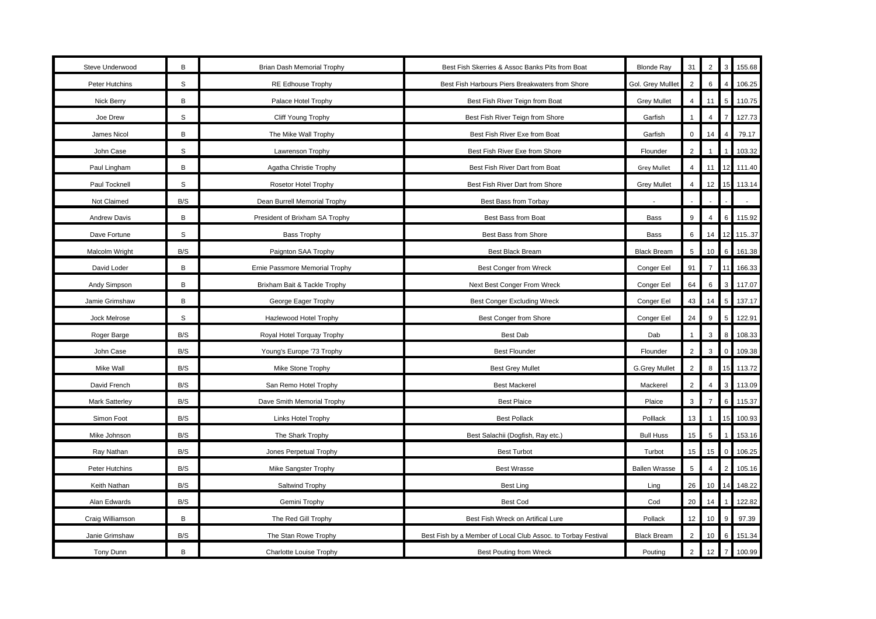| Steve Underwood  | B           | Brian Dash Memorial Trophy     | Best Fish Skerries & Assoc Banks Pits from Boat               | <b>Blonde Ray</b>    | 31              | $\overline{2}$ |             | 155.68 |
|------------------|-------------|--------------------------------|---------------------------------------------------------------|----------------------|-----------------|----------------|-------------|--------|
| Peter Hutchins   | $\mathbb S$ | RE Edhouse Trophy              | Best Fish Harbours Piers Breakwaters from Shore               | Gol. Grey Mulllet    | $\overline{2}$  | 6              |             | 106.25 |
| Nick Berry       | B           | Palace Hotel Trophy            | Best Fish River Teign from Boat                               | <b>Grey Mullet</b>   | $\overline{4}$  | 11             | 5           | 110.75 |
| Joe Drew         | S           | Cliff Young Trophy             | Best Fish River Teign from Shore                              | Garfish              | $\mathbf{1}$    | $\overline{4}$ |             | 127.73 |
| James Nicol      | В           | The Mike Wall Trophy           | Best Fish River Exe from Boat                                 | Garfish              | $\mathbf 0$     | 14             | 4           | 79.17  |
| John Case        | S           | Lawrenson Trophy               | Best Fish River Exe from Shore                                | Flounder             | $\overline{2}$  |                |             | 103.32 |
| Paul Lingham     | B           | Agatha Christie Trophy         | Best Fish River Dart from Boat                                | <b>Grey Mullet</b>   | $\overline{4}$  | 11             | 12          | 111.40 |
| Paul Tocknell    | S           | Rosetor Hotel Trophy           | Best Fish River Dart from Shore                               | <b>Grey Mullet</b>   | $\overline{4}$  | 12             | 15          | 113.14 |
| Not Claimed      | B/S         | Dean Burrell Memorial Trophy   | Best Bass from Torbay                                         |                      |                 |                |             |        |
| Andrew Davis     | В           | President of Brixham SA Trophy | Best Bass from Boat                                           | Bass                 | 9               | $\overline{4}$ | $\,6$       | 115.92 |
| Dave Fortune     | S           | <b>Bass Trophy</b>             | Best Bass from Shore                                          | Bass                 | 6               | 14             | 12          | 115.37 |
| Malcolm Wright   | B/S         | Paignton SAA Trophy            | Best Black Bream                                              | <b>Black Bream</b>   | $5\phantom{.0}$ | 10             | 6           | 161.38 |
| David Loder      | В           | Ernie Passmore Memorial Trophy | <b>Best Conger from Wreck</b>                                 | Conger Eel           | 91              | $\overline{7}$ | 11          | 166.33 |
| Andy Simpson     | B           | Brixham Bait & Tackle Trophy   | Next Best Conger From Wreck                                   | Conger Eel           | 64              | $\,6$          | 3           | 117.07 |
| Jamie Grimshaw   | В           | George Eager Trophy            | Best Conger Excluding Wreck                                   | Conger Eel           | 43              | 14             | 5           | 137.17 |
| Jock Melrose     | $\mathbb S$ | Hazlewood Hotel Trophy         | Best Conger from Shore                                        | Conger Eel           | 24              | 9              | $\,$ 5 $\,$ | 122.91 |
| Roger Barge      | B/S         | Royal Hotel Torquay Trophy     | <b>Best Dab</b>                                               | Dab                  | $\overline{1}$  | 3              | 8           | 108.33 |
| John Case        | B/S         | Young's Europe '73 Trophy      | <b>Best Flounder</b>                                          | Flounder             | $\overline{2}$  | 3              | $\Omega$    | 109.38 |
| Mike Wall        | B/S         | Mike Stone Trophy              | <b>Best Grey Mullet</b>                                       | <b>G.Grey Mullet</b> | $\overline{2}$  | 8              | 15          | 113.72 |
| David French     | B/S         | San Remo Hotel Trophy          | <b>Best Mackerel</b>                                          | Mackerel             | $\overline{2}$  | $\overline{4}$ | 3           | 113.09 |
| Mark Satterley   | B/S         | Dave Smith Memorial Trophy     | <b>Best Plaice</b>                                            | Plaice               | $\mathbf{3}$    | $\overline{7}$ | 6           | 115.37 |
| Simon Foot       | B/S         | Links Hotel Trophy             | <b>Best Pollack</b>                                           | Polllack             | 13              | $\overline{1}$ | 15          | 100.93 |
| Mike Johnson     | B/S         | The Shark Trophy               | Best Salachii (Dogfish, Ray etc.)                             | <b>Bull Huss</b>     | 15              | $\,$ 5         |             | 153.16 |
| Ray Nathan       | B/S         | Jones Perpetual Trophy         | <b>Best Turbot</b>                                            | Turbot               | 15              | 15             | $\Omega$    | 106.25 |
| Peter Hutchins   | B/S         | Mike Sangster Trophy           | <b>Best Wrasse</b>                                            | <b>Ballen Wrasse</b> | $5\phantom{.0}$ | $\overline{4}$ |             | 105.16 |
| Keith Nathan     | B/S         | Saltwind Trophy                | <b>Best Ling</b>                                              | Ling                 | 26              | 10             | 14          | 148.22 |
| Alan Edwards     | B/S         | Gemini Trophy                  | <b>Best Cod</b>                                               | Cod                  | 20              | 14             |             | 122.82 |
| Craig Williamson | B           | The Red Gill Trophy            | Best Fish Wreck on Artifical Lure                             | Pollack              | 12              | 10             | 9           | 97.39  |
| Janie Grimshaw   | B/S         | The Stan Rowe Trophy           | Best Fish by a Member of Local Club Assoc. to Torbay Festival | <b>Black Bream</b>   | $\sqrt{2}$      | 10             | 6           | 151.34 |
| Tony Dunn        | В           | Charlotte Louise Trophy        | <b>Best Pouting from Wreck</b>                                | Pouting              | $\overline{2}$  | 12             |             | 100.99 |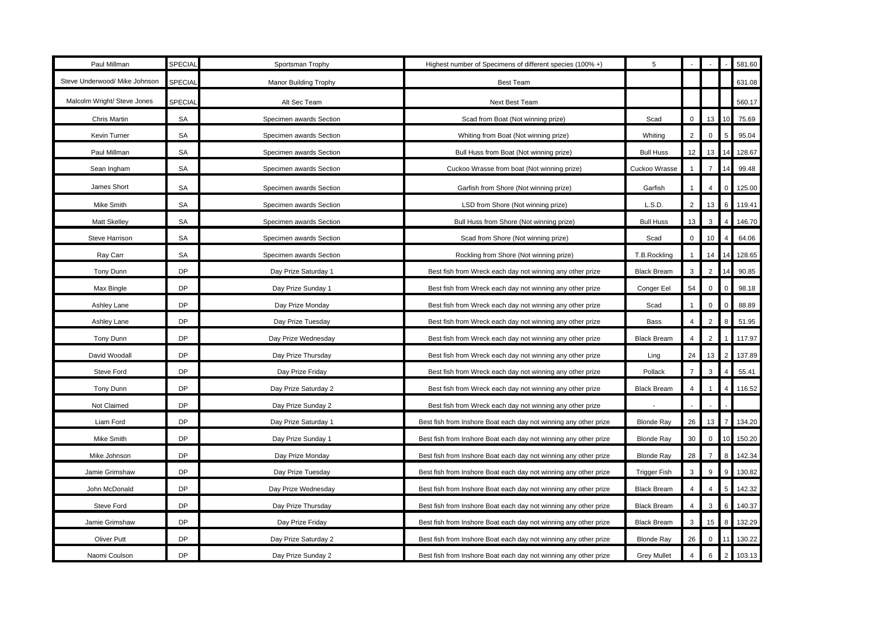| Paul Millman                  | <b>SPECIAL</b> | Sportsman Trophy        | Highest number of Specimens of different species (100% +)        | 5                   |                     |                |                 | 581.60 |
|-------------------------------|----------------|-------------------------|------------------------------------------------------------------|---------------------|---------------------|----------------|-----------------|--------|
| Steve Underwood/ Mike Johnson | <b>SPECIAI</b> | Manor Building Trophy   | <b>Best Team</b>                                                 |                     |                     |                |                 | 631.08 |
| Malcolm Wright/ Steve Jones   | <b>SPECIAI</b> | Alt Sec Team            | Next Best Team                                                   |                     |                     |                |                 | 560.17 |
| Chris Martin                  | SA             | Specimen awards Section | Scad from Boat (Not winning prize)                               | Scad                | $\mathbf 0$         | 13             |                 | 75.69  |
| Kevin Turner                  | SA             | Specimen awards Section | Whiting from Boat (Not winning prize)                            | Whiting             | $\overline{2}$      | $\mathbf 0$    | 5               | 95.04  |
| Paul Millman                  | SA             | Specimen awards Section | Bull Huss from Boat (Not winning prize)                          | <b>Bull Huss</b>    | 12                  | 13             |                 | 128.67 |
| Sean Ingham                   | SA             | Specimen awards Section | Cuckoo Wrasse from boat (Not winning prize)                      | Cuckoo Wrasse       |                     |                |                 | 99.48  |
| James Short                   | SA             | Specimen awards Section | Garfish from Shore (Not winning prize)                           | Garfish             | $\mathbf{1}$        | 4              | 0               | 125.00 |
| Mike Smith                    | SA             | Specimen awards Section | LSD from Shore (Not winning prize)                               | L.S.D.              | $\overline{2}$      | 13             | $6\phantom{.}6$ | 119.41 |
| <b>Matt Skelley</b>           | SA             | Specimen awards Section | Bull Huss from Shore (Not winning prize)                         | <b>Bull Huss</b>    | 13                  | 3              |                 | 146.70 |
| Steve Harrison                | SA             | Specimen awards Section | Scad from Shore (Not winning prize)                              | Scad                | $\mathsf{O}\xspace$ | 10             |                 | 64.06  |
| Ray Carr                      | SA             | Specimen awards Section | Rockling from Shore (Not winning prize)                          | T.B.Rockling        | $\mathbf{1}$        | 14             |                 | 128.65 |
| Tony Dunn                     | DP             | Day Prize Saturday 1    | Best fish from Wreck each day not winning any other prize        | <b>Black Bream</b>  | 3                   | $\overline{2}$ | 14              | 90.85  |
| Max Bingle                    | DP             | Day Prize Sunday 1      | Best fish from Wreck each day not winning any other prize        | Conger Eel          | 54                  | $\Omega$       | $\Omega$        | 98.18  |
| Ashley Lane                   | DP             | Day Prize Monday        | Best fish from Wreck each day not winning any other prize        | Scad                |                     | $\Omega$       | $\mathbf 0$     | 88.89  |
| Ashley Lane                   | DP             | Day Prize Tuesday       | Best fish from Wreck each day not winning any other prize        | Bass                | $\overline{4}$      | $\overline{2}$ | 8               | 51.95  |
| Tony Dunn                     | <b>DP</b>      | Day Prize Wednesday     | Best fish from Wreck each day not winning any other prize        | <b>Black Bream</b>  | $\overline{4}$      | $\overline{2}$ |                 | 117.97 |
| David Woodall                 | DP             | Day Prize Thursday      | Best fish from Wreck each day not winning any other prize        | Ling                | 24                  | 13             | $\overline{2}$  | 137.89 |
| Steve Ford                    | <b>DP</b>      | Day Prize Friday        | Best fish from Wreck each day not winning any other prize        | Pollack             | $\overline{7}$      | 3              | $\overline{4}$  | 55.41  |
| Tony Dunn                     | DP             | Day Prize Saturday 2    | Best fish from Wreck each day not winning any other prize        | <b>Black Bream</b>  | 4                   |                | $\overline{4}$  | 116.52 |
| Not Claimed                   | <b>DP</b>      | Day Prize Sunday 2      | Best fish from Wreck each day not winning any other prize        |                     |                     |                |                 |        |
| Liam Ford                     | DP             | Day Prize Saturday 1    | Best fish from Inshore Boat each day not winning any other prize | <b>Blonde Ray</b>   | 26                  | 13             | $\overline{7}$  | 134.20 |
| Mike Smith                    | DP             | Day Prize Sunday 1      | Best fish from Inshore Boat each day not winning any other prize | <b>Blonde Ray</b>   | 30                  | $\mathbf 0$    |                 | 150.20 |
| Mike Johnson                  | <b>DP</b>      | Day Prize Monday        | Best fish from Inshore Boat each day not winning any other prize | <b>Blonde Ray</b>   | 28                  | $\overline{7}$ | 8               | 142.34 |
| Jamie Grimshaw                | DP             | Day Prize Tuesday       | Best fish from Inshore Boat each day not winning any other prize | <b>Trigger Fish</b> | $\mathbf{3}$        | 9              | 9               | 130.82 |
| John McDonald                 | <b>DP</b>      | Day Prize Wednesday     | Best fish from Inshore Boat each day not winning any other prize | <b>Black Bream</b>  | $\overline{4}$      | $\overline{4}$ | 5               | 142.32 |
| Steve Ford                    | <b>DP</b>      | Day Prize Thursday      | Best fish from Inshore Boat each day not winning any other prize | <b>Black Bream</b>  | $\overline{4}$      | 3              | 6               | 140.37 |
| Jamie Grimshaw                | <b>DP</b>      | Day Prize Friday        | Best fish from Inshore Boat each day not winning any other prize | <b>Black Bream</b>  | 3                   | 15             | 8               | 132.29 |
| Oliver Putt                   | <b>DP</b>      | Day Prize Saturday 2    | Best fish from Inshore Boat each day not winning any other prize | <b>Blonde Ray</b>   | 26                  | $\mathbf 0$    |                 | 130.22 |
| Naomi Coulson                 | DP             | Day Prize Sunday 2      | Best fish from Inshore Boat each day not winning any other prize | <b>Grey Mullet</b>  | $\overline{4}$      | 6              | $\overline{c}$  | 103.13 |